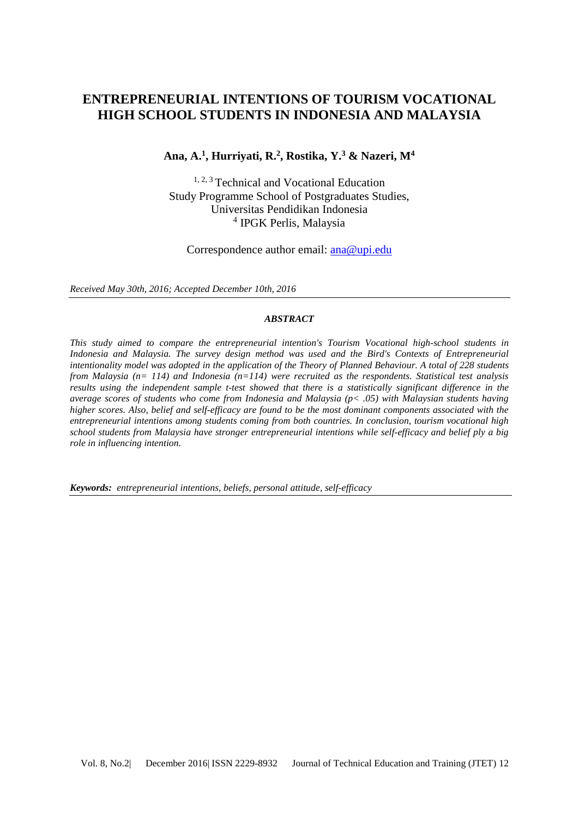# **ENTREPRENEURIAL INTENTIONS OF TOURISM VOCATIONAL HIGH SCHOOL STUDENTS IN INDONESIA AND MALAYSIA**

#### **Ana, A. 1 , Hurriyati, R.<sup>2</sup> , Rostika, Y.<sup>3</sup> & Nazeri, M<sup>4</sup>**

1, 2, 3 Technical and Vocational Education Study Programme School of Postgraduates Studies, Universitas Pendidikan Indonesia 4 IPGK Perlis, Malaysia

Correspondence author email: [ana@upi.edu](mailto:ana@upi.edu)

*Received May 30th, 2016; Accepted December 10th, 2016*

#### *ABSTRACT*

*This study aimed to compare the entrepreneurial intention's Tourism Vocational high-school students in Indonesia and Malaysia. The survey design method was used and the Bird's Contexts of Entrepreneurial intentionality model was adopted in the application of the Theory of Planned Behaviour. A total of 228 students from Malaysia (n= 114) and Indonesia (n=114) were recruited as the respondents. Statistical test analysis results using the independent sample t-test showed that there is a statistically significant difference in the average scores of students who come from Indonesia and Malaysia (p< .05) with Malaysian students having higher scores. Also, belief and self-efficacy are found to be the most dominant components associated with the entrepreneurial intentions among students coming from both countries. In conclusion, tourism vocational high school students from Malaysia have stronger entrepreneurial intentions while self-efficacy and belief ply a big role in influencing intention.*

*Keywords:**entrepreneurial intentions, beliefs, personal attitude, self-efficacy*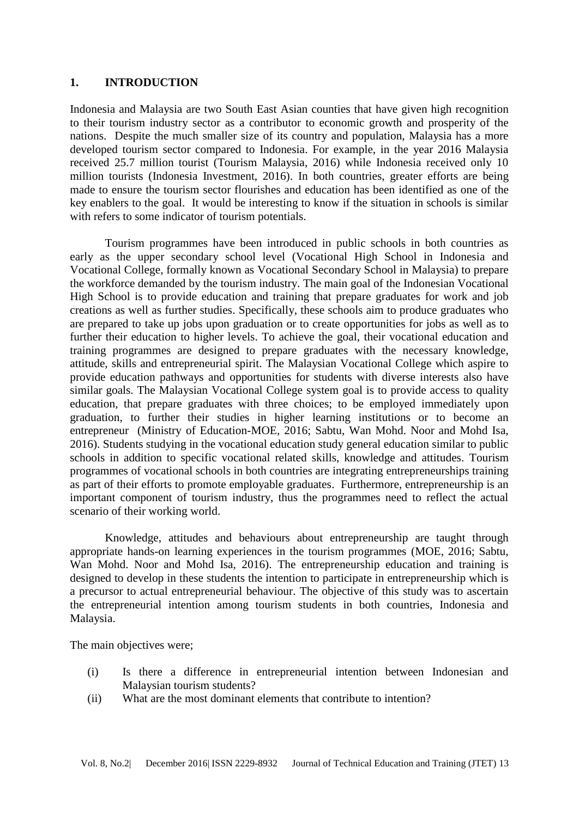#### **1. INTRODUCTION**

Indonesia and Malaysia are two South East Asian counties that have given high recognition to their tourism industry sector as a contributor to economic growth and prosperity of the nations. Despite the much smaller size of its country and population, Malaysia has a more developed tourism sector compared to Indonesia. For example, in the year 2016 Malaysia received 25.7 million tourist (Tourism Malaysia, 2016) while Indonesia received only 10 million tourists (Indonesia Investment, 2016). In both countries, greater efforts are being made to ensure the tourism sector flourishes and education has been identified as one of the key enablers to the goal. It would be interesting to know if the situation in schools is similar with refers to some indicator of tourism potentials.

Tourism programmes have been introduced in public schools in both countries as early as the upper secondary school level (Vocational High School in Indonesia and Vocational College, formally known as Vocational Secondary School in Malaysia) to prepare the workforce demanded by the tourism industry. The main goal of the Indonesian Vocational High School is to provide education and training that prepare graduates for work and job creations as well as further studies. Specifically, these schools aim to produce graduates who are prepared to take up jobs upon graduation or to create opportunities for jobs as well as to further their education to higher levels. To achieve the goal, their vocational education and training programmes are designed to prepare graduates with the necessary knowledge, attitude, skills and entrepreneurial spirit. The Malaysian Vocational College which aspire to provide education pathways and opportunities for students with diverse interests also have similar goals. The Malaysian Vocational College system goal is to provide access to quality education, that prepare graduates with three choices; to be employed immediately upon graduation, to further their studies in higher learning institutions or to become an entrepreneur (Ministry of Education-MOE, 2016; Sabtu, Wan Mohd. Noor and Mohd Isa, 2016). Students studying in the vocational education study general education similar to public schools in addition to specific vocational related skills, knowledge and attitudes. Tourism programmes of vocational schools in both countries are integrating entrepreneurships training as part of their efforts to promote employable graduates. Furthermore, entrepreneurship is an important component of tourism industry, thus the programmes need to reflect the actual scenario of their working world.

Knowledge, attitudes and behaviours about entrepreneurship are taught through appropriate hands-on learning experiences in the tourism programmes (MOE, 2016; Sabtu, Wan Mohd. Noor and Mohd Isa, 2016). The entrepreneurship education and training is designed to develop in these students the intention to participate in entrepreneurship which is a precursor to actual entrepreneurial behaviour. The objective of this study was to ascertain the entrepreneurial intention among tourism students in both countries, Indonesia and Malaysia.

The main objectives were;

- (i) Is there a difference in entrepreneurial intention between Indonesian and Malaysian tourism students?
- (ii) What are the most dominant elements that contribute to intention?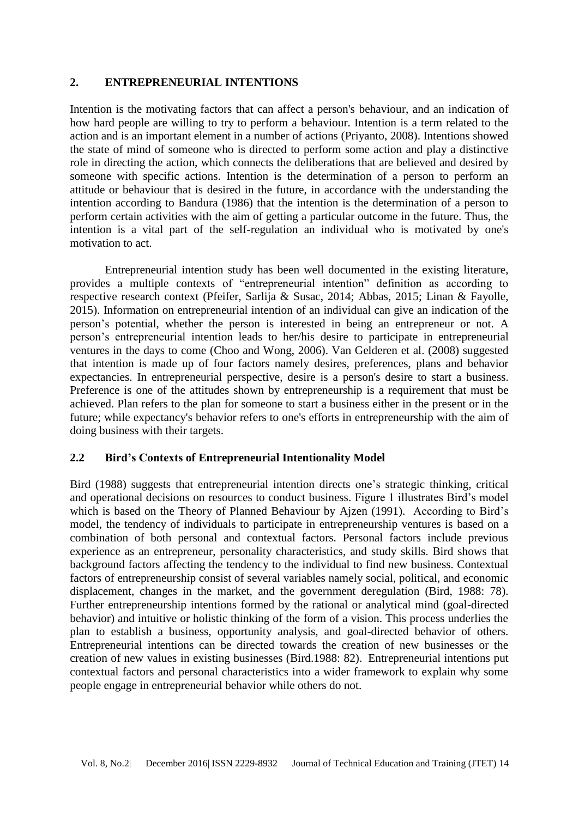#### **2. ENTREPRENEURIAL INTENTIONS**

Intention is the motivating factors that can affect a person's behaviour, and an indication of how hard people are willing to try to perform a behaviour. Intention is a term related to the action and is an important element in a number of actions (Priyanto, 2008). Intentions showed the state of mind of someone who is directed to perform some action and play a distinctive role in directing the action, which connects the deliberations that are believed and desired by someone with specific actions. Intention is the determination of a person to perform an attitude or behaviour that is desired in the future, in accordance with the understanding the intention according to Bandura (1986) that the intention is the determination of a person to perform certain activities with the aim of getting a particular outcome in the future. Thus, the intention is a vital part of the self-regulation an individual who is motivated by one's motivation to act.

Entrepreneurial intention study has been well documented in the existing literature, provides a multiple contexts of "entrepreneurial intention" definition as according to respective research context (Pfeifer, Sarlija & Susac, 2014; Abbas, 2015; Linan & Fayolle, 2015). Information on entrepreneurial intention of an individual can give an indication of the person's potential, whether the person is interested in being an entrepreneur or not. A person's entrepreneurial intention leads to her/his desire to participate in entrepreneurial ventures in the days to come (Choo and Wong, 2006). Van Gelderen et al. (2008) suggested that intention is made up of four factors namely desires, preferences, plans and behavior expectancies. In entrepreneurial perspective, desire is a person's desire to start a business. Preference is one of the attitudes shown by entrepreneurship is a requirement that must be achieved. Plan refers to the plan for someone to start a business either in the present or in the future; while expectancy's behavior refers to one's efforts in entrepreneurship with the aim of doing business with their targets.

## **2.2 Bird's Contexts of Entrepreneurial Intentionality Model**

Bird (1988) suggests that entrepreneurial intention directs one's strategic thinking, critical and operational decisions on resources to conduct business. Figure 1 illustrates Bird's model which is based on the Theory of Planned Behaviour by Ajzen (1991). According to Bird's model, the tendency of individuals to participate in entrepreneurship ventures is based on a combination of both personal and contextual factors. Personal factors include previous experience as an entrepreneur, personality characteristics, and study skills. Bird shows that background factors affecting the tendency to the individual to find new business. Contextual factors of entrepreneurship consist of several variables namely social, political, and economic displacement, changes in the market, and the government deregulation (Bird, 1988: 78). Further entrepreneurship intentions formed by the rational or analytical mind (goal-directed behavior) and intuitive or holistic thinking of the form of a vision. This process underlies the plan to establish a business, opportunity analysis, and goal-directed behavior of others. Entrepreneurial intentions can be directed towards the creation of new businesses or the creation of new values in existing businesses (Bird.1988: 82). Entrepreneurial intentions put contextual factors and personal characteristics into a wider framework to explain why some people engage in entrepreneurial behavior while others do not.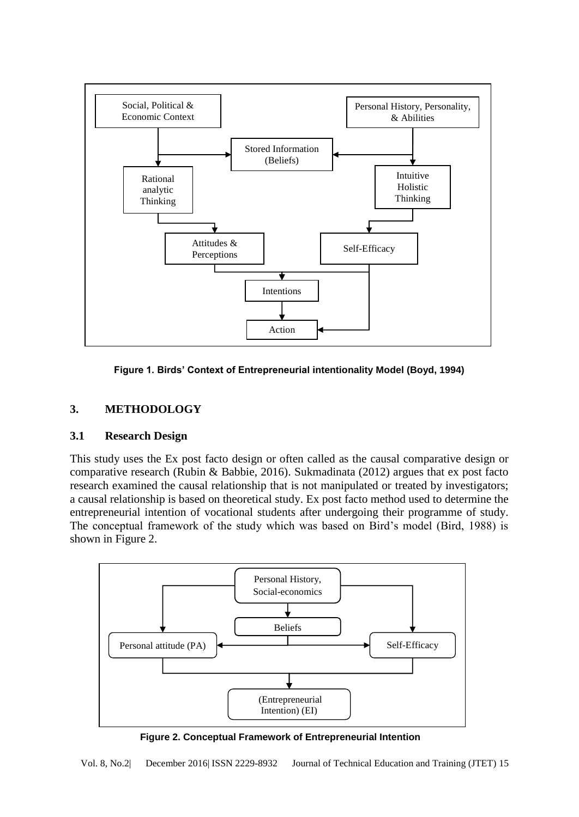

**Figure 1. Birds' Context of Entrepreneurial intentionality Model (Boyd, 1994)**

# **3. METHODOLOGY**

## **3.1 Research Design**

This study uses the Ex post facto design or often called as the causal comparative design or comparative research (Rubin & Babbie, 2016). Sukmadinata (2012) argues that ex post facto research examined the causal relationship that is not manipulated or treated by investigators; a causal relationship is based on theoretical study. Ex post facto method used to determine the entrepreneurial intention of vocational students after undergoing their programme of study. The conceptual framework of the study which was based on Bird's model (Bird, 1988) is shown in Figure 2.



**Figure 2. Conceptual Framework of Entrepreneurial Intention** 

Vol. 8, No.2| December 2016| ISSN 2229-8932 Journal of Technical Education and Training (JTET) 15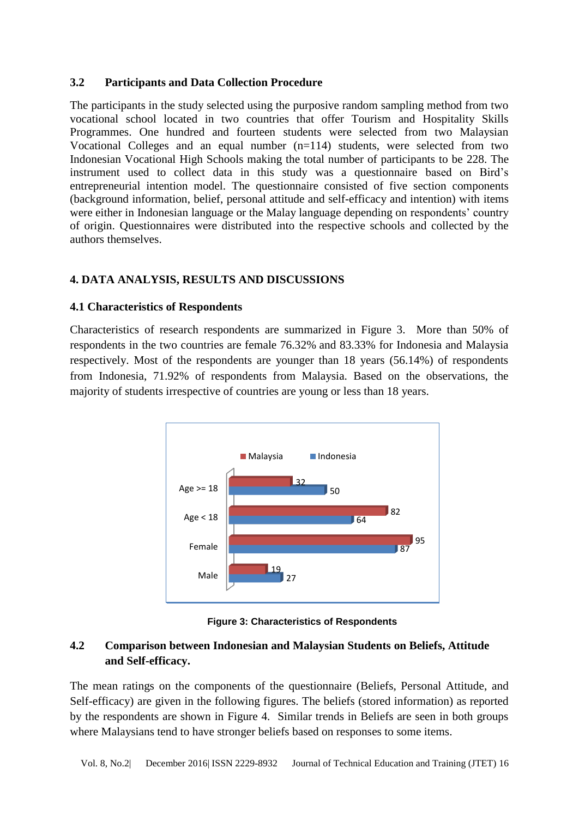#### **3.2 Participants and Data Collection Procedure**

The participants in the study selected using the purposive random sampling method from two vocational school located in two countries that offer Tourism and Hospitality Skills Programmes. One hundred and fourteen students were selected from two Malaysian Vocational Colleges and an equal number (n=114) students, were selected from two Indonesian Vocational High Schools making the total number of participants to be 228. The instrument used to collect data in this study was a questionnaire based on Bird's entrepreneurial intention model. The questionnaire consisted of five section components (background information, belief, personal attitude and self-efficacy and intention) with items were either in Indonesian language or the Malay language depending on respondents' country of origin. Questionnaires were distributed into the respective schools and collected by the authors themselves.

## **4. DATA ANALYSIS, RESULTS AND DISCUSSIONS**

### **4.1 Characteristics of Respondents**

Characteristics of research respondents are summarized in Figure 3. More than 50% of respondents in the two countries are female 76.32% and 83.33% for Indonesia and Malaysia respectively. Most of the respondents are younger than 18 years (56.14%) of respondents from Indonesia, 71.92% of respondents from Malaysia. Based on the observations, the majority of students irrespective of countries are young or less than 18 years.



**Figure 3: Characteristics of Respondents**

# **4.2 Comparison between Indonesian and Malaysian Students on Beliefs, Attitude and Self-efficacy.**

The mean ratings on the components of the questionnaire (Beliefs, Personal Attitude, and Self-efficacy) are given in the following figures. The beliefs (stored information) as reported by the respondents are shown in Figure 4. Similar trends in Beliefs are seen in both groups where Malaysians tend to have stronger beliefs based on responses to some items.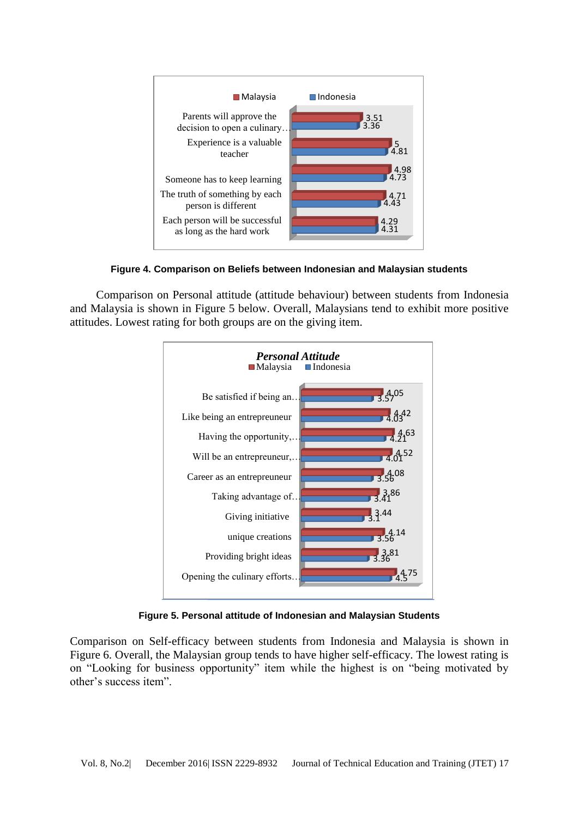

**Figure 4. Comparison on Beliefs between Indonesian and Malaysian students** 

Comparison on Personal attitude (attitude behaviour) between students from Indonesia and Malaysia is shown in Figure 5 below. Overall, Malaysians tend to exhibit more positive attitudes. Lowest rating for both groups are on the giving item.



**Figure 5. Personal attitude of Indonesian and Malaysian Students**

Comparison on Self-efficacy between students from Indonesia and Malaysia is shown in Figure 6. Overall, the Malaysian group tends to have higher self-efficacy. The lowest rating is on "Looking for business opportunity" item while the highest is on "being motivated by other's success item".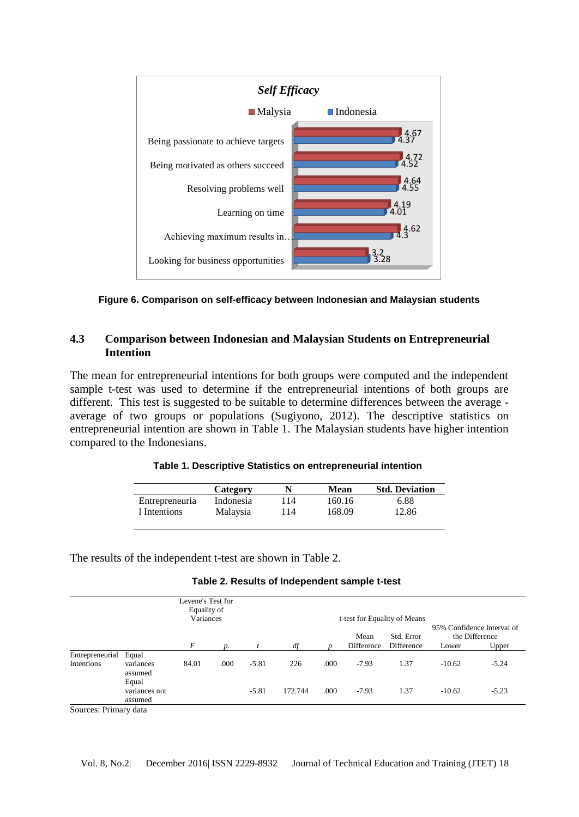

**Figure 6. Comparison on self-efficacy between Indonesian and Malaysian students**

### **4.3 Comparison between Indonesian and Malaysian Students on Entrepreneurial Intention**

The mean for entrepreneurial intentions for both groups were computed and the independent sample t-test was used to determine if the entrepreneurial intentions of both groups are different. This test is suggested to be suitable to determine differences between the average average of two groups or populations (Sugiyono, 2012). The descriptive statistics on entrepreneurial intention are shown in Table 1. The Malaysian students have higher intention compared to the Indonesians.

|  | Table 1. Descriptive Statistics on entrepreneurial intention |
|--|--------------------------------------------------------------|
|--|--------------------------------------------------------------|

|                | Category        |     | Mean   | <b>Std. Deviation</b> |
|----------------|-----------------|-----|--------|-----------------------|
| Entrepreneuria | Indonesia       | 14  | 160.16 | 6.88                  |
| 1 Intentions   | <b>Malaysia</b> | 114 | 168.09 | 12.86                 |

The results of the independent t-test are shown in Table 2.

|                               |                                   | Levene's Test for<br>Equality of<br>Variances |                 |         | t-test for Equality of Means |      |                    | 95% Confidence Interval of |          |                         |
|-------------------------------|-----------------------------------|-----------------------------------------------|-----------------|---------|------------------------------|------|--------------------|----------------------------|----------|-------------------------|
|                               |                                   | F                                             | $\mathcal{D}$ . |         | df                           |      | Mean<br>Difference | Std. Error<br>Difference   | Lower    | the Difference<br>Upper |
| Entrepreneurial<br>Intentions | Equal<br>variances<br>assumed     | 84.01                                         | .000            | $-5.81$ | 226                          | .000 | $-7.93$            | 1.37                       | $-10.62$ | $-5.24$                 |
|                               | Equal<br>variances not<br>assumed |                                               |                 | $-5.81$ | 172.744                      | .000 | $-7.93$            | 1.37                       | $-10.62$ | $-5.23$                 |

Sources: Primary data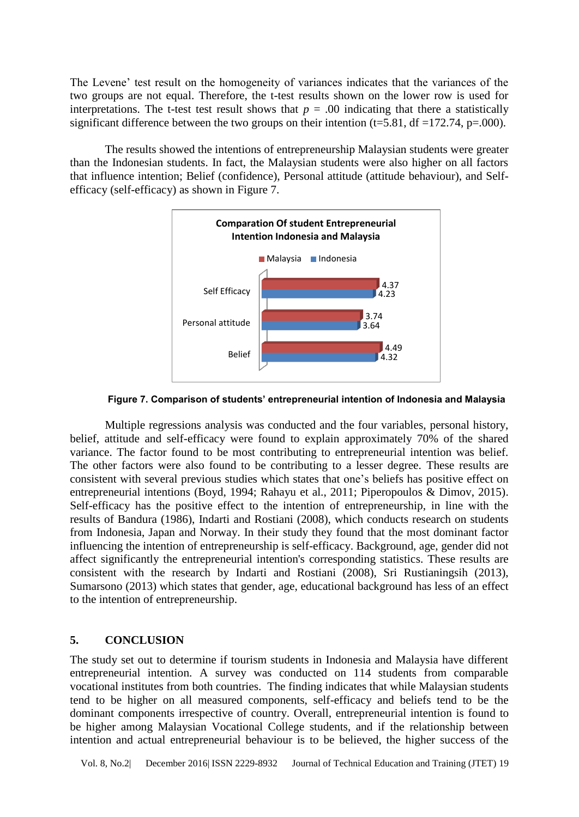The Levene' test result on the homogeneity of variances indicates that the variances of the two groups are not equal. Therefore, the t-test results shown on the lower row is used for interpretations. The t-test test result shows that  $p = .00$  indicating that there a statistically significant difference between the two groups on their intention (t=5.81, df =172.74, p=.000).

The results showed the intentions of entrepreneurship Malaysian students were greater than the Indonesian students. In fact, the Malaysian students were also higher on all factors that influence intention; Belief (confidence), Personal attitude (attitude behaviour), and Selfefficacy (self-efficacy) as shown in Figure 7.



**Figure 7. Comparison of students' entrepreneurial intention of Indonesia and Malaysia** 

Multiple regressions analysis was conducted and the four variables, personal history, belief, attitude and self-efficacy were found to explain approximately 70% of the shared variance. The factor found to be most contributing to entrepreneurial intention was belief. The other factors were also found to be contributing to a lesser degree. These results are consistent with several previous studies which states that one's beliefs has positive effect on entrepreneurial intentions (Boyd, 1994; Rahayu et al., 2011; Piperopoulos & Dimov, 2015). Self-efficacy has the positive effect to the intention of entrepreneurship, in line with the results of Bandura (1986), Indarti and Rostiani (2008), which conducts research on students from Indonesia, Japan and Norway. In their study they found that the most dominant factor influencing the intention of entrepreneurship is self-efficacy. Background, age, gender did not affect significantly the entrepreneurial intention's corresponding statistics. These results are consistent with the research by Indarti and Rostiani (2008), Sri Rustianingsih (2013), Sumarsono (2013) which states that gender, age, educational background has less of an effect to the intention of entrepreneurship.

#### **5. CONCLUSION**

The study set out to determine if tourism students in Indonesia and Malaysia have different entrepreneurial intention. A survey was conducted on 114 students from comparable vocational institutes from both countries. The finding indicates that while Malaysian students tend to be higher on all measured components, self-efficacy and beliefs tend to be the dominant components irrespective of country. Overall, entrepreneurial intention is found to be higher among Malaysian Vocational College students, and if the relationship between intention and actual entrepreneurial behaviour is to be believed, the higher success of the